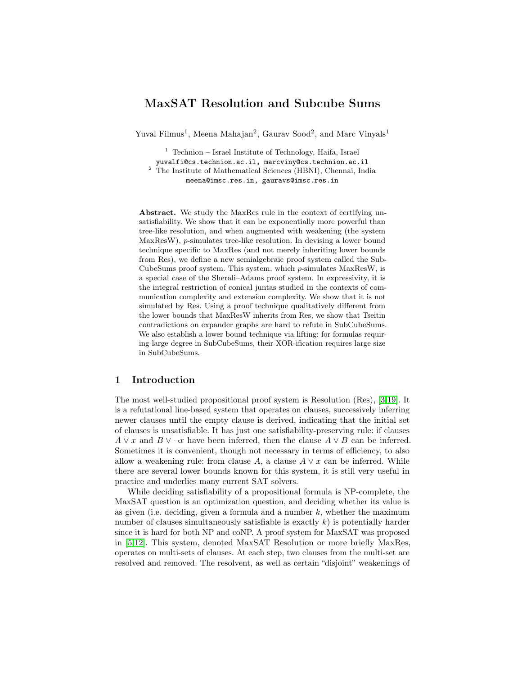# MaxSAT Resolution and Subcube Sums

Yuval Filmus<sup>1</sup>, Meena Mahajan<sup>2</sup>, Gaurav Sood<sup>2</sup>, and Marc Vinyals<sup>1</sup>

<sup>1</sup> Technion – Israel Institute of Technology, Haifa, Israel yuvalfi@cs.technion.ac.il, marcviny@cs.technion.ac.il

<sup>2</sup> The Institute of Mathematical Sciences (HBNI), Chennai, India meena@imsc.res.in, gauravs@imsc.res.in

Abstract. We study the MaxRes rule in the context of certifying unsatisfiability. We show that it can be exponentially more powerful than tree-like resolution, and when augmented with weakening (the system MaxResW), p-simulates tree-like resolution. In devising a lower bound technique specific to MaxRes (and not merely inheriting lower bounds from Res), we define a new semialgebraic proof system called the Sub-CubeSums proof system. This system, which p-simulates MaxResW, is a special case of the Sherali–Adams proof system. In expressivity, it is the integral restriction of conical juntas studied in the contexts of communication complexity and extension complexity. We show that it is not simulated by Res. Using a proof technique qualitatively different from the lower bounds that MaxResW inherits from Res, we show that Tseitin contradictions on expander graphs are hard to refute in SubCubeSums. We also establish a lower bound technique via lifting: for formulas requiring large degree in SubCubeSums, their XOR-ification requires large size in SubCubeSums.

# 1 Introduction

The most well-studied propositional proof system is Resolution (Res), [\[3,](#page-15-0)[19\]](#page-16-0). It is a refutational line-based system that operates on clauses, successively inferring newer clauses until the empty clause is derived, indicating that the initial set of clauses is unsatisfiable. It has just one satisfiability-preserving rule: if clauses  $A \vee x$  and  $B \vee \neg x$  have been inferred, then the clause  $A \vee B$  can be inferred. Sometimes it is convenient, though not necessary in terms of efficiency, to also allow a weakening rule: from clause  $A$ , a clause  $A \vee x$  can be inferred. While there are several lower bounds known for this system, it is still very useful in practice and underlies many current SAT solvers.

While deciding satisfiability of a propositional formula is NP-complete, the MaxSAT question is an optimization question, and deciding whether its value is as given (i.e. deciding, given a formula and a number  $k$ , whether the maximum number of clauses simultaneously satisfiable is exactly k) is potentially harder since it is hard for both NP and coNP. A proof system for MaxSAT was proposed in [\[5,](#page-15-1)[12\]](#page-15-2). This system, denoted MaxSAT Resolution or more briefly MaxRes, operates on multi-sets of clauses. At each step, two clauses from the multi-set are resolved and removed. The resolvent, as well as certain "disjoint" weakenings of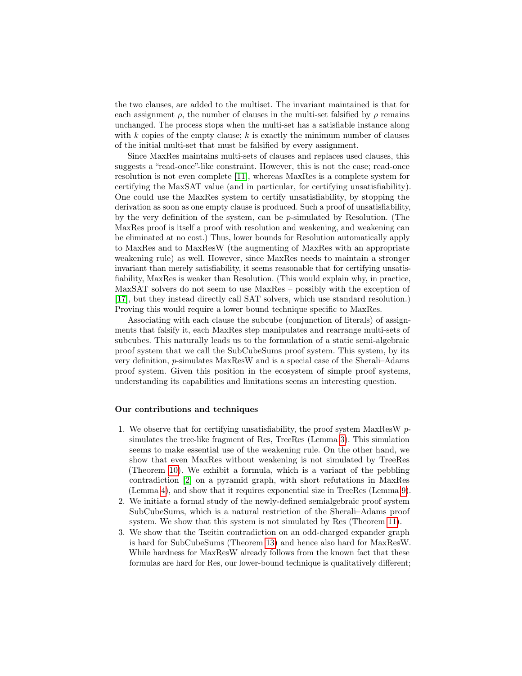the two clauses, are added to the multiset. The invariant maintained is that for each assignment  $\rho$ , the number of clauses in the multi-set falsified by  $\rho$  remains unchanged. The process stops when the multi-set has a satisfiable instance along with k copies of the empty clause; k is exactly the minimum number of clauses of the initial multi-set that must be falsified by every assignment.

Since MaxRes maintains multi-sets of clauses and replaces used clauses, this suggests a "read-once"-like constraint. However, this is not the case; read-once resolution is not even complete [\[11\]](#page-15-3), whereas MaxRes is a complete system for certifying the MaxSAT value (and in particular, for certifying unsatisfiability). One could use the MaxRes system to certify unsatisfiability, by stopping the derivation as soon as one empty clause is produced. Such a proof of unsatisfiability, by the very definition of the system, can be p-simulated by Resolution. (The MaxRes proof is itself a proof with resolution and weakening, and weakening can be eliminated at no cost.) Thus, lower bounds for Resolution automatically apply to MaxRes and to MaxResW (the augmenting of MaxRes with an appropriate weakening rule) as well. However, since MaxRes needs to maintain a stronger invariant than merely satisfiability, it seems reasonable that for certifying unsatisfiability, MaxRes is weaker than Resolution. (This would explain why, in practice, MaxSAT solvers do not seem to use MaxRes – possibly with the exception of [\[17\]](#page-16-1), but they instead directly call SAT solvers, which use standard resolution.) Proving this would require a lower bound technique specific to MaxRes.

Associating with each clause the subcube (conjunction of literals) of assignments that falsify it, each MaxRes step manipulates and rearrange multi-sets of subcubes. This naturally leads us to the formulation of a static semi-algebraic proof system that we call the SubCubeSums proof system. This system, by its very definition, p-simulates MaxResW and is a special case of the Sherali–Adams proof system. Given this position in the ecosystem of simple proof systems, understanding its capabilities and limitations seems an interesting question.

#### Our contributions and techniques

- 1. We observe that for certifying unsatisfiability, the proof system MaxResW psimulates the tree-like fragment of Res, TreeRes (Lemma [3\)](#page-5-0). This simulation seems to make essential use of the weakening rule. On the other hand, we show that even MaxRes without weakening is not simulated by TreeRes (Theorem [10\)](#page-8-0). We exhibit a formula, which is a variant of the pebbling contradiction [\[2\]](#page-15-4) on a pyramid graph, with short refutations in MaxRes (Lemma [4\)](#page-6-0), and show that it requires exponential size in TreeRes (Lemma [9\)](#page-8-1).
- 2. We initiate a formal study of the newly-defined semialgebraic proof system SubCubeSums, which is a natural restriction of the Sherali–Adams proof system. We show that this system is not simulated by Res (Theorem [11\)](#page-8-2).
- 3. We show that the Tseitin contradiction on an odd-charged expander graph is hard for SubCubeSums (Theorem [13\)](#page-10-0) and hence also hard for MaxResW. While hardness for MaxResW already follows from the known fact that these formulas are hard for Res, our lower-bound technique is qualitatively different;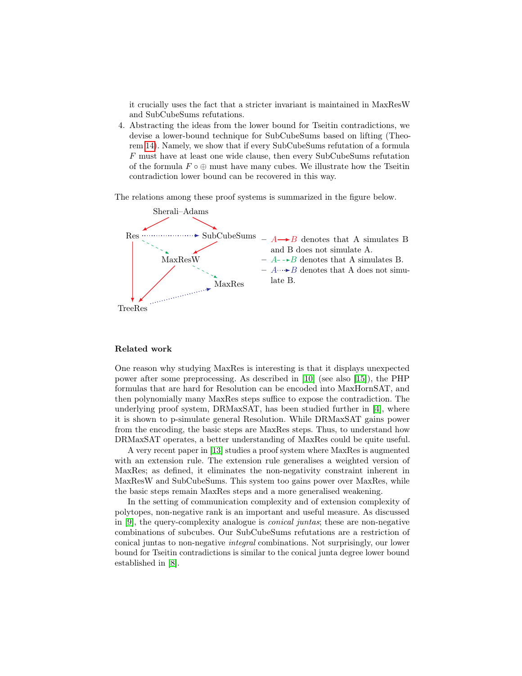it crucially uses the fact that a stricter invariant is maintained in MaxResW and SubCubeSums refutations.

4. Abstracting the ideas from the lower bound for Tseitin contradictions, we devise a lower-bound technique for SubCubeSums based on lifting (Theorem [14\)](#page-13-0). Namely, we show that if every SubCubeSums refutation of a formula F must have at least one wide clause, then every SubCubeSums refutation of the formula  $F \circ \oplus$  must have many cubes. We illustrate how the Tseitin contradiction lower bound can be recovered in this way.

The relations among these proof systems is summarized in the figure below.



#### Related work

One reason why studying MaxRes is interesting is that it displays unexpected power after some preprocessing. As described in [\[10\]](#page-15-5) (see also [\[15\]](#page-15-6)), the PHP formulas that are hard for Resolution can be encoded into MaxHornSAT, and then polynomially many MaxRes steps suffice to expose the contradiction. The underlying proof system, DRMaxSAT, has been studied further in [\[4\]](#page-15-7), where it is shown to p-simulate general Resolution. While DRMaxSAT gains power from the encoding, the basic steps are MaxRes steps. Thus, to understand how DRMaxSAT operates, a better understanding of MaxRes could be quite useful.

A very recent paper in [\[13\]](#page-15-8) studies a proof system where MaxRes is augmented with an extension rule. The extension rule generalises a weighted version of MaxRes; as defined, it eliminates the non-negativity constraint inherent in MaxResW and SubCubeSums. This system too gains power over MaxRes, while the basic steps remain MaxRes steps and a more generalised weakening.

In the setting of communication complexity and of extension complexity of polytopes, non-negative rank is an important and useful measure. As discussed in [\[9\]](#page-15-9), the query-complexity analogue is conical juntas; these are non-negative combinations of subcubes. Our SubCubeSums refutations are a restriction of conical juntas to non-negative integral combinations. Not surprisingly, our lower bound for Tseitin contradictions is similar to the conical junta degree lower bound established in [\[8\]](#page-15-10).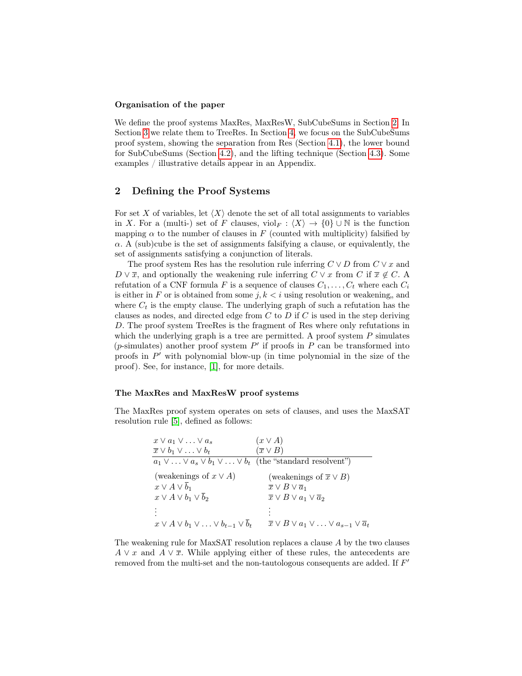#### Organisation of the paper

We define the proof systems MaxRes, MaxResW, SubCubeSums in Section [2.](#page-3-0) In Section [3](#page-5-1) we relate them to TreeRes. In Section [4,](#page-8-3) we focus on the SubCubeSums proof system, showing the separation from Res (Section [4.1\)](#page-8-4), the lower bound for SubCubeSums (Section [4.2\)](#page-10-1), and the lifting technique (Section [4.3\)](#page-13-1). Some examples / illustrative details appear in an Appendix.

### <span id="page-3-0"></span>2 Defining the Proof Systems

For set X of variables, let  $\langle X \rangle$  denote the set of all total assignments to variables in X. For a (multi-) set of F clauses,  $\text{viol}_F : \langle X \rangle \to \{0\} \cup \mathbb{N}$  is the function mapping  $\alpha$  to the number of clauses in F (counted with multiplicity) falsified by  $\alpha$ . A (sub)cube is the set of assignments falsifying a clause, or equivalently, the set of assignments satisfying a conjunction of literals.

The proof system Res has the resolution rule inferring  $C \vee D$  from  $C \vee x$  and  $D \vee \overline{x}$ , and optionally the weakening rule inferring  $C \vee x$  from C if  $\overline{x} \notin C$ . refutation of a CNF formula F is a sequence of clauses  $C_1, \ldots, C_t$  where each  $C_i$ is either in F or is obtained from some  $j, k < i$  using resolution or weakening, and where  $C_t$  is the empty clause. The underlying graph of such a refutation has the clauses as nodes, and directed edge from  $C$  to  $D$  if  $C$  is used in the step deriving D. The proof system TreeRes is the fragment of Res where only refutations in which the underlying graph is a tree are permitted. A proof system  $P$  simulates ( $p$ -simulates) another proof system  $P'$  if proofs in  $P$  can be transformed into proofs in  $P'$  with polynomial blow-up (in time polynomial in the size of the proof). See, for instance, [\[1\]](#page-15-11), for more details.

#### The MaxRes and MaxResW proof systems

The MaxRes proof system operates on sets of clauses, and uses the MaxSAT resolution rule [\[5\]](#page-15-1), defined as follows:

| $x \vee a_1 \vee \ldots \vee a_s$                                                   | $(x \vee A)$                                                                |
|-------------------------------------------------------------------------------------|-----------------------------------------------------------------------------|
| $\overline{x} \vee b_1 \vee \ldots \vee b_t$                                        | $(\overline{x} \vee B)$                                                     |
| $a_1 \vee \ldots \vee a_s \vee b_1 \vee \ldots \vee b_t$ (the "standard resolvent") |                                                                             |
| (weakenings of $x \vee A$ )                                                         | (weakenings of $\overline{x} \vee B$ )                                      |
| $x \vee A \vee \overline{b}_1$                                                      | $\overline{x} \vee B \vee \overline{a}_1$                                   |
| $x \vee A \vee b_1 \vee b_2$                                                        | $\overline{x} \vee B \vee a_1 \vee \overline{a_2}$                          |
|                                                                                     |                                                                             |
| $x \vee A \vee b_1 \vee \ldots \vee b_{t-1} \vee b_t$                               | $\overline{x} \vee B \vee a_1 \vee \ldots \vee a_{s-1} \vee \overline{a}_t$ |

The weakening rule for MaxSAT resolution replaces a clause A by the two clauses  $A \vee x$  and  $A \vee \overline{x}$ . While applying either of these rules, the antecedents are removed from the multi-set and the non-tautologous consequents are added. If  $F'$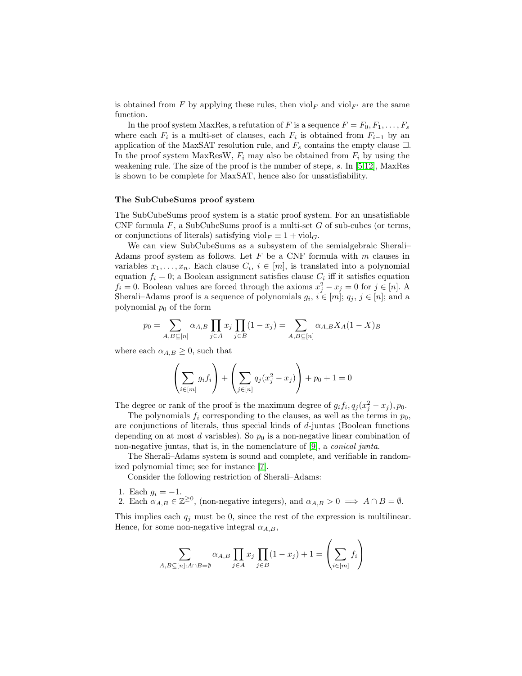is obtained from F by applying these rules, then  $\text{viol}_{F}$  and  $\text{viol}_{F'}$  are the same function.

In the proof system MaxRes, a refutation of F is a sequence  $F = F_0, F_1, \ldots, F_s$ where each  $F_i$  is a multi-set of clauses, each  $F_i$  is obtained from  $F_{i-1}$  by an application of the MaxSAT resolution rule, and  $F_s$  contains the empty clause  $\Box$ . In the proof system MaxResW,  $F_i$  may also be obtained from  $F_i$  by using the weakening rule. The size of the proof is the number of steps, s. In [\[5,](#page-15-1)[12\]](#page-15-2), MaxRes is shown to be complete for MaxSAT, hence also for unsatisfiability.

#### The SubCubeSums proof system

The SubCubeSums proof system is a static proof system. For an unsatisfiable CNF formula  $F$ , a SubCubeSums proof is a multi-set  $G$  of sub-cubes (or terms, or conjunctions of literals) satisfying  $\text{viol}_F \equiv 1 + \text{viol}_G$ .

We can view SubCubeSums as a subsystem of the semialgebraic Sherali– Adams proof system as follows. Let  $F$  be a CNF formula with  $m$  clauses in variables  $x_1, \ldots, x_n$ . Each clause  $C_i, i \in [m]$ , is translated into a polynomial equation  $f_i = 0$ ; a Boolean assignment satisfies clause  $C_i$  iff it satisfies equation  $f_i = 0$ . Boolean values are forced through the axioms  $x_j^2 - x_j = 0$  for  $j \in [n]$ . A Sherali–Adams proof is a sequence of polynomials  $g_i, i \in [m]$ ;  $q_j, j \in [n]$ ; and a polynomial  $p_0$  of the form

$$
p_0 = \sum_{A,B \subseteq [n]} \alpha_{A,B} \prod_{j \in A} x_j \prod_{j \in B} (1 - x_j) = \sum_{A,B \subseteq [n]} \alpha_{A,B} X_A (1 - X)_B
$$

where each  $\alpha_{A,B} \geq 0$ , such that

$$
\left(\sum_{i \in [m]} g_i f_i\right) + \left(\sum_{j \in [n]} q_j (x_j^2 - x_j)\right) + p_0 + 1 = 0
$$

The degree or rank of the proof is the maximum degree of  $g_i f_i, q_j (x_j^2 - x_j)$ ,  $p_0$ .

The polynomials  $f_i$  corresponding to the clauses, as well as the terms in  $p_0$ , are conjunctions of literals, thus special kinds of d-juntas (Boolean functions depending on at most  $d$  variables). So  $p_0$  is a non-negative linear combination of non-negative juntas, that is, in the nomenclature of [\[9\]](#page-15-9), a *conical junta*.

The Sherali–Adams system is sound and complete, and verifiable in randomized polynomial time; see for instance [\[7\]](#page-15-12).

Consider the following restriction of Sherali–Adams:

- 1. Each  $g_i = -1$ .
- 2. Each  $\alpha_{A,B} \in \mathbb{Z}^{\geq 0}$ , (non-negative integers), and  $\alpha_{A,B} > 0 \implies A \cap B = \emptyset$ .

This implies each  $q_i$  must be 0, since the rest of the expression is multilinear. Hence, for some non-negative integral  $\alpha_{A,B}$ ,

$$
\sum_{A,B \subseteq [n]: A \cap B = \emptyset} \alpha_{A,B} \prod_{j \in A} x_j \prod_{j \in B} (1 - x_j) + 1 = \left( \sum_{i \in [m]} f_i \right)
$$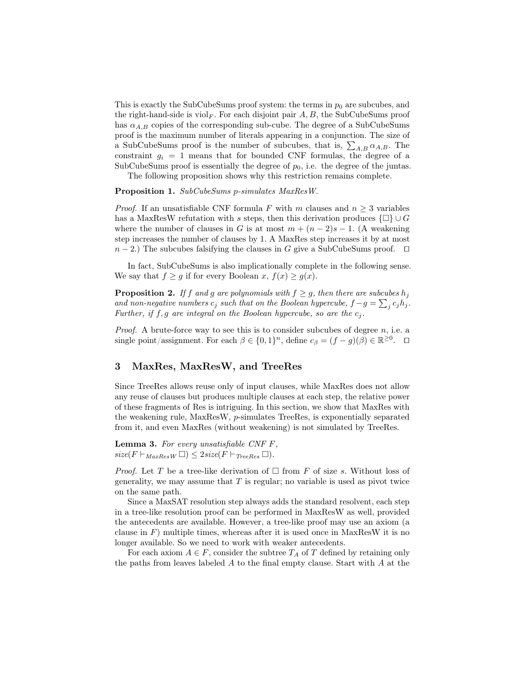This is exactly the SubCubeSums proof system: the terms in  $p_0$  are subcubes, and the right-hand-side is viol<sub>F</sub>. For each disjoint pair  $A, B$ , the SubCubeSums proof has  $\alpha_{A,B}$  copies of the corresponding sub-cube. The degree of a SubCubeSums proof is the maximum number of literals appearing in a conjunction. The size of a SubCubeSums proof is the number of subcubes, that is,  $\sum_{A,B} \alpha_{A,B}$ . The constraint  $g_i = 1$  means that for bounded CNF formulas, the degree of a SubCubeSums proof is essentially the degree of  $p_0$ , i.e. the degree of the juntas.

The following proposition shows why this restriction remains complete.

Proposition 1. SubCubeSums p-simulates MaxResW.

*Proof.* If an unsatisfiable CNF formula F with m clauses and  $n \geq 3$  variables has a MaxResW refutation with s steps, then this derivation produces  $\{\Box\} \cup G$ where the number of clauses in G is at most  $m + (n-2)s - 1$ . (A weakening step increases the number of clauses by 1. A MaxRes step increases it by at most  $n-2$ .) The subcubes falsifying the clauses in G give a SubCubeSums proof.  $\square$ 

In fact, SubCubeSums is also implicationally complete in the following sense. We say that  $f \ge g$  if for every Boolean x,  $f(x) \ge g(x)$ .

<span id="page-5-2"></span>**Proposition 2.** If f and g are polynomials with  $f \geq g$ , then there are subcubes  $h_j$ and non-negative numbers  $c_j$  such that on the Boolean hypercube,  $f-g = \sum_j c_j h_j$ . Further, if  $f, g$  are integral on the Boolean hypercube, so are the  $c_j$ .

*Proof.* A brute-force way to see this is to consider subcubes of degree  $n$ , i.e. a single point/assignment. For each  $\beta \in \{0,1\}^n$ , define  $c_{\beta} = (f - g)(\beta) \in \mathbb{R}^{\geq 0}$ .  $\Box$ 

# <span id="page-5-1"></span>3 MaxRes, MaxResW, and TreeRes

Since TreeRes allows reuse only of input clauses, while MaxRes does not allow any reuse of clauses but produces multiple clauses at each step, the relative power of these fragments of Res is intriguing. In this section, we show that MaxRes with the weakening rule, MaxResW, p-simulates TreeRes, is exponentially separated from it, and even MaxRes (without weakening) is not simulated by TreeRes.

<span id="page-5-0"></span>**Lemma 3.** For every unsatisfiable CNF  $F$ ,  $size(F \vdash_{MaxResW} \Box) \leq 2size(F \vdash_{TreeRes} \Box).$ 

*Proof.* Let T be a tree-like derivation of  $\Box$  from F of size s. Without loss of generality, we may assume that  $T$  is regular; no variable is used as pivot twice on the same path.

Since a MaxSAT resolution step always adds the standard resolvent, each step in a tree-like resolution proof can be performed in MaxResW as well, provided the antecedents are available. However, a tree-like proof may use an axiom (a clause in  $F$ ) multiple times, whereas after it is used once in MaxResW it is no longer available. So we need to work with weaker antecedents.

For each axiom  $A \in F$ , consider the subtree  $T_A$  of T defined by retaining only the paths from leaves labeled  $A$  to the final empty clause. Start with  $A$  at the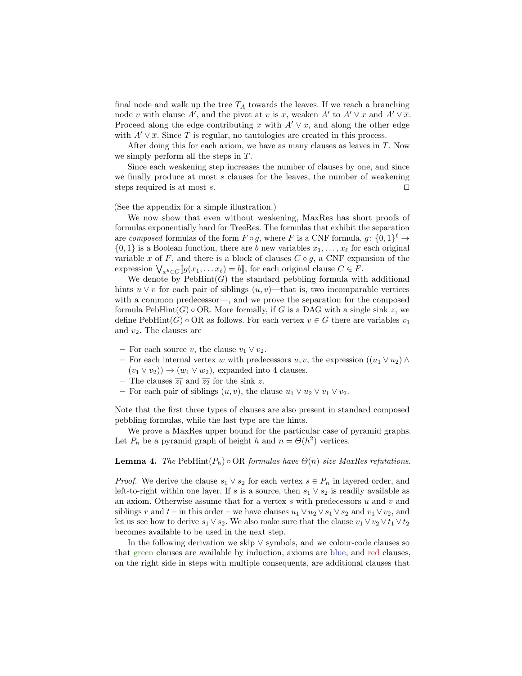final node and walk up the tree  $T_A$  towards the leaves. If we reach a branching node v with clause A', and the pivot at v is x, weaken A' to A'  $\vee x$  and A'  $\vee \overline{x}$ . Proceed along the edge contributing x with  $A' \vee x$ , and along the other edge with  $A' \vee \overline{x}$ . Since T is regular, no tautologies are created in this process.

After doing this for each axiom, we have as many clauses as leaves in T. Now we simply perform all the steps in T.

Since each weakening step increases the number of clauses by one, and since we finally produce at most s clauses for the leaves, the number of weakening steps required is at most s.  $\square$ 

(See the appendix for a simple illustration.)

We now show that even without weakening, MaxRes has short proofs of formulas exponentially hard for TreeRes. The formulas that exhibit the separation are composed formulas of the form  $F \circ g$ , where F is a CNF formula,  $g: \{0,1\}^{\ell} \to$  $\{0, 1\}$  is a Boolean function, there are b new variables  $x_1, \ldots, x_\ell$  for each original variable x of F, and there is a block of clauses  $C \circ g$ , a CNF expansion of the expression  $\bigvee_{x^b \in C} [g(x_1, \ldots, x_\ell) = b]$ , for each original clause  $C \in F$ .<br>We denote by  $\text{Deb}^{\text{Hint}}(C)$  the standard pobbling formula with

We denote by  $\text{PebHint}(G)$  the standard pebbling formula with additional hints  $u \vee v$  for each pair of siblings  $(u, v)$ —that is, two incomparable vertices with a common predecessor—, and we prove the separation for the composed formula PebHint(G)  $\circ$  OR. More formally, if G is a DAG with a single sink z, we define PebHint(G) ∘ OR as follows. For each vertex  $v \in G$  there are variables  $v_1$ and  $v_2$ . The clauses are

- For each source v, the clause  $v_1 \vee v_2$ .
- For each internal vertex w with predecessors  $u, v$ , the expression  $((u_1 \vee u_2) \wedge$  $(v_1 \vee v_2)) \rightarrow (w_1 \vee w_2)$ , expanded into 4 clauses.
- The clauses  $\overline{z_1}$  and  $\overline{z_2}$  for the sink z.
- For each pair of siblings  $(u, v)$ , the clause  $u_1 \vee u_2 \vee v_1 \vee v_2$ .

Note that the first three types of clauses are also present in standard composed pebbling formulas, while the last type are the hints.

We prove a MaxRes upper bound for the particular case of pyramid graphs. Let  $P_h$  be a pyramid graph of height h and  $n = \Theta(h^2)$  vertices.

#### <span id="page-6-0"></span>**Lemma 4.** The PebHint $(P_h) \circ \text{OR}$  formulas have  $\Theta(n)$  size MaxRes refutations.

*Proof.* We derive the clause  $s_1 \vee s_2$  for each vertex  $s \in P_n$  in layered order, and left-to-right within one layer. If s is a source, then  $s_1 \vee s_2$  is readily available as an axiom. Otherwise assume that for a vertex  $s$  with predecessors  $u$  and  $v$  and siblings r and t – in this order – we have clauses  $u_1 \vee u_2 \vee s_1 \vee s_2$  and  $v_1 \vee v_2$ , and let us see how to derive  $s_1 \vee s_2$ . We also make sure that the clause  $v_1 \vee v_2 \vee t_1 \vee t_2$ becomes available to be used in the next step.

In the following derivation we skip ∨ symbols, and we colour-code clauses so that green clauses are available by induction, axioms are blue, and red clauses, on the right side in steps with multiple consequents, are additional clauses that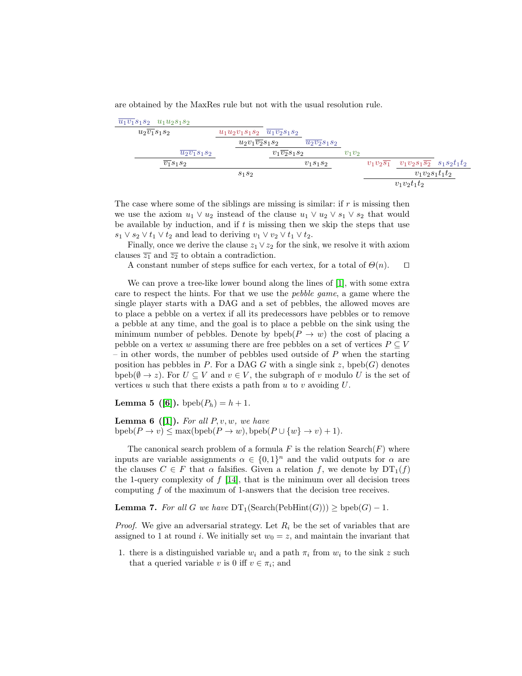are obtained by the MaxRes rule but not with the usual resolution rule.



The case where some of the siblings are missing is similar: if r is missing then we use the axiom  $u_1 \vee u_2$  instead of the clause  $u_1 \vee u_2 \vee s_1 \vee s_2$  that would be available by induction, and if  $t$  is missing then we skip the steps that use  $s_1 \vee s_2 \vee t_1 \vee t_2$  and lead to deriving  $v_1 \vee v_2 \vee t_1 \vee t_2$ .

Finally, once we derive the clause  $z_1 \vee z_2$  for the sink, we resolve it with axiom clauses  $\overline{z_1}$  and  $\overline{z_2}$  to obtain a contradiction.

A constant number of steps suffice for each vertex, for a total of  $\Theta(n)$ .  $\Box$ 

We can prove a tree-like lower bound along the lines of [\[1\]](#page-15-11), with some extra care to respect the hints. For that we use the pebble game, a game where the single player starts with a DAG and a set of pebbles, the allowed moves are to place a pebble on a vertex if all its predecessors have pebbles or to remove a pebble at any time, and the goal is to place a pebble on the sink using the minimum number of pebbles. Denote by bpeb( $P \rightarrow w$ ) the cost of placing a pebble on a vertex w assuming there are free pebbles on a set of vertices  $P \subseteq V$ – in other words, the number of pebbles used outside of  $P$  when the starting position has pebbles in P. For a DAG G with a single sink z, bpeb(G) denotes bpeb( $\emptyset \to z$ ). For  $U \subseteq V$  and  $v \in V$ , the subgraph of v modulo U is the set of vertices u such that there exists a path from  $u$  to  $v$  avoiding  $U$ .

<span id="page-7-2"></span>**Lemma 5 ([\[6\]](#page-15-13)).** bpeb( $P_h$ ) =  $h + 1$ .

<span id="page-7-0"></span>**Lemma 6 ([\[1\]](#page-15-11)).** For all  $P, v, w$ , we have bpeb( $P \to v$ )  $\leq$  max(bpeb( $P \to w$ ), bpeb( $P \cup \{w\} \to v$ ) + 1).

The canonical search problem of a formula  $F$  is the relation  $\mathrm{Search}(F)$  where inputs are variable assignments  $\alpha \in \{0,1\}^n$  and the valid outputs for  $\alpha$  are the clauses  $C \in F$  that  $\alpha$  falsifies. Given a relation f, we denote by  $DT_1(f)$ the 1-query complexity of  $f$  [\[14\]](#page-15-14), that is the minimum over all decision trees computing f of the maximum of 1-answers that the decision tree receives.

<span id="page-7-3"></span>**Lemma 7.** For all G we have  $DT_1(S\text{,PebHint}(G))) \geq \text{bpeb}(G) - 1$ .

*Proof.* We give an adversarial strategy. Let  $R_i$  be the set of variables that are assigned to 1 at round i. We initially set  $w_0 = z$ , and maintain the invariant that

<span id="page-7-1"></span>1. there is a distinguished variable  $w_i$  and a path  $\pi_i$  from  $w_i$  to the sink z such that a queried variable v is 0 iff  $v \in \pi_i$ ; and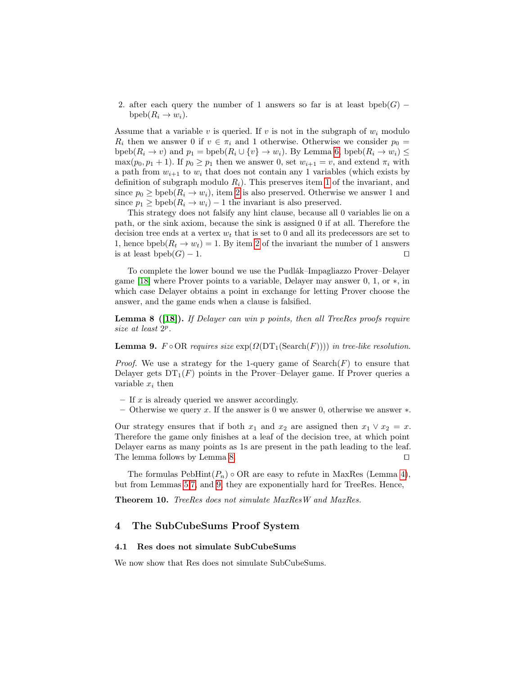<span id="page-8-5"></span>2. after each query the number of 1 answers so far is at least bpeb( $G$ ) – bpeb $(R_i \rightarrow w_i)$ .

Assume that a variable v is queried. If v is not in the subgraph of  $w_i$  modulo  $R_i$  then we answer 0 if  $v \in \pi_i$  and 1 otherwise. Otherwise we consider  $p_0 =$ bpeb( $R_i \rightarrow v$ ) and  $p_1 =$  bpeb( $R_i \cup \{v\} \rightarrow w_i$ ). By Lemma [6,](#page-7-0) bpeb( $R_i \rightarrow w_i$ )  $\leq$  $\max(p_0, p_1 + 1)$ . If  $p_0 \geq p_1$  then we answer 0, set  $w_{i+1} = v$ , and extend  $\pi_i$  with a path from  $w_{i+1}$  to  $w_i$  that does not contain any 1 variables (which exists by definition of subgraph modulo  $R_i$ ). This preserves item [1](#page-7-1) of the invariant, and since  $p_0 \geq$  bpeb $(R_i \rightarrow w_i)$ , item [2](#page-8-5) is also preserved. Otherwise we answer 1 and since  $p_1 \geq$  bpeb $(R_i \to w_i) - 1$  the invariant is also preserved.

This strategy does not falsify any hint clause, because all 0 variables lie on a path, or the sink axiom, because the sink is assigned 0 if at all. Therefore the decision tree ends at a vertex  $w_t$  that is set to 0 and all its predecessors are set to 1, hence bpeb $(R_t \to w_t) = 1$ . By item [2](#page-8-5) of the invariant the number of 1 answers is at least bpeb( $G$ ) – 1.

To complete the lower bound we use the Pudlák–Impagliazzo Prover–Delayer game [\[18\]](#page-16-2) where Prover points to a variable, Delayer may answer 0, 1, or ∗, in which case Delayer obtains a point in exchange for letting Prover choose the answer, and the game ends when a clause is falsified.

<span id="page-8-6"></span>Lemma 8 ([\[18\]](#page-16-2)). If Delayer can win p points, then all TreeRes proofs require size at least  $2^p$ .

<span id="page-8-1"></span>**Lemma 9.**  $F \circ \text{OR requires size } \exp(\Omega(\text{DT}_1(\text{Search}(F))))$  in tree-like resolution.

*Proof.* We use a strategy for the 1-query game of  $Search(F)$  to ensure that Delayer gets  $DT_1(F)$  points in the Prover–Delayer game. If Prover queries a variable  $x_i$  then

- $-$  If x is already queried we answer accordingly.
- Otherwise we query x. If the answer is 0 we answer 0, otherwise we answer  $\ast$ .

Our strategy ensures that if both  $x_1$  and  $x_2$  are assigned then  $x_1 \vee x_2 = x$ . Therefore the game only finishes at a leaf of the decision tree, at which point Delayer earns as many points as 1s are present in the path leading to the leaf. The lemma follows by Lemma [8.](#page-8-6)  $\Box$ 

<span id="page-8-0"></span>The formulas  $\text{PebHint}(P_n) \circ \text{OR}$  are easy to refute in MaxRes (Lemma [4\)](#page-6-0), but from Lemmas [5,](#page-7-2)[7,](#page-7-3) and [9,](#page-8-1) they are exponentially hard for TreeRes. Hence,

**Theorem 10.** TreeRes does not simulate MaxResW and MaxRes.

## <span id="page-8-3"></span>4 The SubCubeSums Proof System

#### <span id="page-8-4"></span>4.1 Res does not simulate SubCubeSums

<span id="page-8-2"></span>We now show that Res does not simulate SubCubeSums.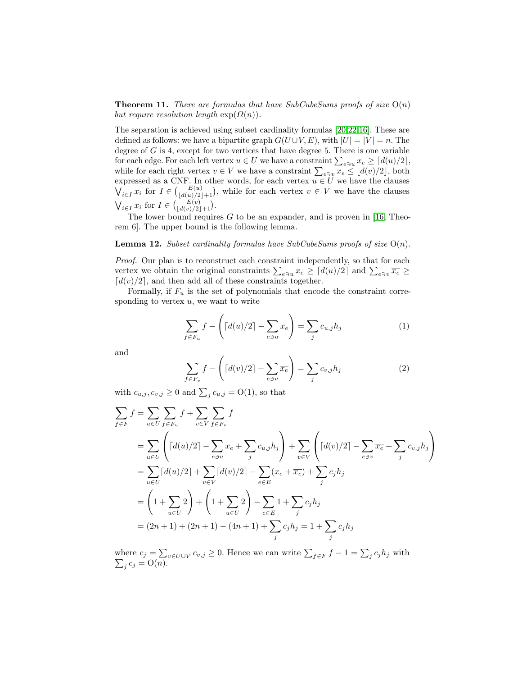**Theorem 11.** There are formulas that have SubCubeSums proofs of size  $O(n)$ but require resolution length  $\exp(\Omega(n))$ .

The separation is achieved using subset cardinality formulas [\[20](#page-16-3)[,22](#page-16-4)[,16\]](#page-16-5). These are defined as follows: we have a bipartite graph  $G(U\cup V, E)$ , with  $|U| = |V| = n$ . The degree of  $G$  is 4, except for two vertices that have degree 5. There is one variable for each edge. For each left vertex  $u \in U$  we have a constraint  $\sum_{e \ni u} x_e \geq [d(u)/2]$ , while for each right vertex  $v \in V$  we have a constraint  $\sum_{e \ni v} x_e \leq \lfloor d(v)/2 \rfloor$ , both while for each right vertex  $v \in V$  we have a constraint  $\sum_{e \ni v} u_e \leq [u(v)/2]$ , both expressed as a CNF. In other words, for each vertex  $u \in U$  we have the clauses  $\bigvee_{i\in I} x_i$  for  $I \in \binom{E(u)}{|d(u)/2|+1}$ , while for each vertex  $v \in V$  we have the clauses  $\bigvee_{i\in I} \overline{x_i}$  for  $I \in \binom{E(v)}{|d(v)/2|+1}$ .

The lower bound requires  $G$  to be an expander, and is proven in [\[16,](#page-16-5) Theorem 6]. The upper bound is the following lemma.

<span id="page-9-2"></span>**Lemma 12.** Subset cardinality formulas have SubCubeSums proofs of size  $O(n)$ .

Proof. Our plan is to reconstruct each constraint independently, so that for each vertex we obtain the original constraints  $\sum_{e \ni u} x_e \geq [d(u)/2]$  and  $\sum_{e \ni v} \overline{x_e} \geq$  $\lceil d(v)/2 \rceil$ , and then add all of these constraints together.

Formally, if  $F_u$  is the set of polynomials that encode the constraint corresponding to vertex  $u$ , we want to write

<span id="page-9-0"></span>
$$
\sum_{f \in F_u} f - \left( \lceil d(u)/2 \rceil - \sum_{e \ni u} x_e \right) = \sum_j c_{u,j} h_j \tag{1}
$$

and

<span id="page-9-1"></span>
$$
\sum_{f \in F_v} f - \left( \lceil d(v)/2 \rceil - \sum_{e \ni v} \overline{x_e} \right) = \sum_j c_{v,j} h_j \tag{2}
$$

with  $c_{u,j}, c_{v,j} \geq 0$  and  $\sum_j c_{u,j} = O(1)$ , so that

$$
\sum_{f \in F} f = \sum_{u \in U} \sum_{f \in F_u} f + \sum_{v \in V} \sum_{f \in F_v} f
$$
\n
$$
= \sum_{u \in U} \left( \frac{d(u)}{2} - \sum_{e \ni u} x_e + \sum_j c_{u,j} h_j \right) + \sum_{v \in V} \left( \frac{d(v)}{2} - \sum_{e \ni v} \overline{x_e} + \sum_j c_{v,j} h_j \right)
$$
\n
$$
= \sum_{u \in U} \frac{d(u)}{2} + \sum_{v \in V} \frac{d(v)}{2} - \sum_{e \in E} (x_e + \overline{x_e}) + \sum_j c_j h_j
$$
\n
$$
= \left( 1 + \sum_{u \in U} 2 \right) + \left( 1 + \sum_{u \in U} 2 \right) - \sum_{e \in E} 1 + \sum_j c_j h_j
$$
\n
$$
= (2n + 1) + (2n + 1) - (4n + 1) + \sum_j c_j h_j = 1 + \sum_j c_j h_j
$$

where  $c_j = \sum_{v \in U \cup V} c_{v,j} \ge 0$ . Hence we can write  $\sum_{f \in F} f - 1 = \sum_j \sum_{v \in G} c_i = O(n)$ .  $c_j h_j$  with  $_{j} c_{j} = O(n).$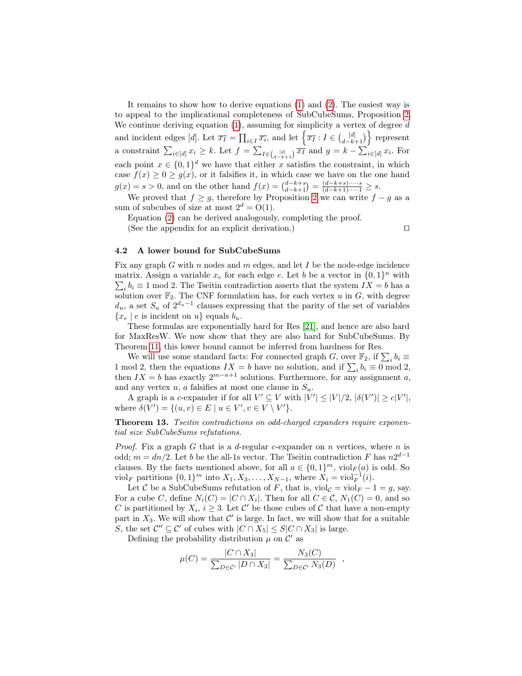It remains to show how to derive equations [\(1\)](#page-9-0) and [\(2\)](#page-9-1). The easiest way is to appeal to the implicational completeness of SubCubeSums, Proposition [2.](#page-5-2) We continue deriving equation  $(1)$ , assuming for simplicity a vertex of degree  $d$ and incident edges [d]. Let  $\overline{x_I} = \prod_{i \in I} \overline{x_i}$ , and let  $\left\{ \overline{x_I} : I \in \binom{[d]}{d-k+1} \right\}$  represent a constraint  $\sum_{i\in[d]} x_i \geq k$ . Let  $f = \sum_{I\in\binom{[d]}{d-k+1}} \overline{x_I}$  and  $g = k - \sum_{i\in[d]} x_i$ . For each point  $x \in \{0,1\}^d$  we have that either x satisfies the constraint, in which case  $f(x) \ge 0 \ge g(x)$ , or it falsifies it, in which case we have on the one hand  $g(x) = s > 0$ , and on the other hand  $f(x) = \left(\frac{d-k+s}{d-k+1}\right) = \frac{(d-k+s)\cdots s}{(d-k+1)\cdots 1} \geq s$ .

We proved that  $f \geq g$ , therefore by Proposition [2](#page-5-2) we can write  $f - g$  as a sum of subcubes of size at most  $2^d = O(1)$ .

Equation [\(2\)](#page-9-1) can be derived analogously, completing the proof.

(See the appendix for an explicit derivation.)  $\Box$ 

### <span id="page-10-1"></span>4.2 A lower bound for SubCubeSums

Fix any graph G with n nodes and  $m$  edges, and let I be the node-edge incidence matrix. Assign a variable  $x_e$  for each edge e. Let b be a vector in  $\{0,1\}^n$  with  $\sum_i b_i \equiv 1 \mod 2$ . The Tseitin contradiction asserts that the system  $IX = b$  has a solution over  $\mathbb{F}_2$ . The CNF formulation has, for each vertex u in G, with degree  $d_u$ , a set  $S_u$  of  $2^{d_u-1}$  clauses expressing that the parity of the set of variables  ${x_e | e$  is incident on u} equals  $b_u$ .

These formulas are exponentially hard for Res [\[21\]](#page-16-6), and hence are also hard for MaxResW. We now show that they are also hard for SubCubeSums. By Theorem [11,](#page-8-2) this lower bound cannot be inferred from hardness for Res.

We will use some standard facts: For connected graph G, over  $\mathbb{F}_2$ , if  $\sum_i b_i \equiv$ 1 mod 2, then the equations  $IX = b$  have no solution, and if  $\sum_i b_i \equiv 0 \mod 2$ , then  $IX = b$  has exactly  $2^{m-n+1}$  solutions. Furthermore, for any assignment a, and any vertex  $u$ ,  $a$  falsifies at most one clause in  $S_u$ .

A graph is a c-expander if for all  $V' \subseteq V$  with  $|V'| \leq |V|/2$ ,  $|\delta(V')| \geq c|V'|$ , where  $\delta(V') = \{(u, v) \in E \mid u \in V', v \in V \setminus V'\}.$ 

<span id="page-10-0"></span>Theorem 13. Tseitin contradictions on odd-charged expanders require exponential size SubCubeSums refutations.

*Proof.* Fix a graph G that is a d-regular c-expander on n vertices, where n is odd;  $m = dn/2$ . Let b be the all-1s vector. The Tseitin contradiction F has  $n2^{d-1}$ clauses. By the facts mentioned above, for all  $a \in \{0,1\}^m$ , viol $_F(a)$  is odd. So viol<sub>F</sub> partitions  $\{0,1\}^m$  into  $X_1, X_3, \ldots, X_{N-1}$ , where  $X_i = \text{viol}_{F}^{-1}(i)$ .

Let C be a SubCubeSums refutation of F, that is,  $\text{viol}_{\mathcal{C}} = \text{viol}_{F} - 1 = g$ , say. For a cube C, define  $N_i(C) = |C \cap X_i|$ . Then for all  $C \in \mathcal{C}$ ,  $N_1(C) = 0$ , and so C is partitioned by  $X_i, i \geq 3$ . Let C' be those cubes of C that have a non-empty part in  $X_3$ . We will show that  $\mathcal{C}'$  is large. In fact, we will show that for a suitable S, the set  $\mathcal{C}'' \subseteq \mathcal{C}'$  of cubes with  $|C \cap X_5| \leq S|C \cap X_3|$  is large.

Defining the probability distribution  $\mu$  on  $\mathcal{C}'$  as

$$
\mu(C) = \frac{|C \cap X_3|}{\sum_{D \in C'} |D \cap X_3|} = \frac{N_3(C)}{\sum_{D \in C'} N_3(D)}
$$

,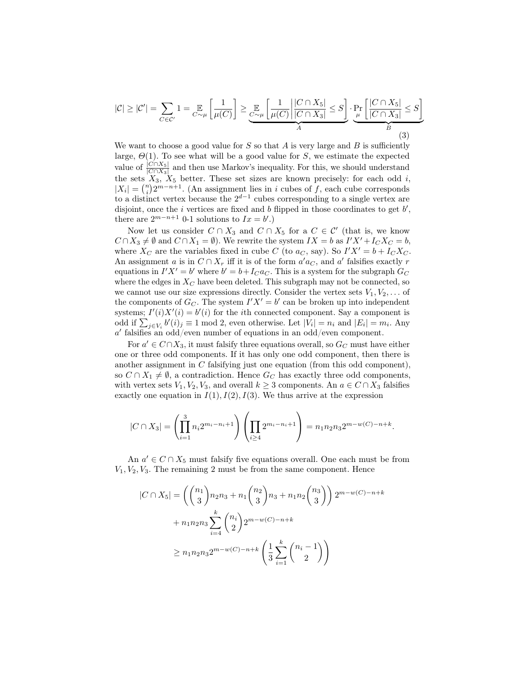<span id="page-11-0"></span>
$$
|\mathcal{C}| \ge |\mathcal{C}'| = \sum_{C \in \mathcal{C}'} 1 = \mathop{\mathbb{E}}_{C \sim \mu} \left[ \frac{1}{\mu(C)} \right] \ge \underbrace{\mathop{\mathbb{E}}_{C \sim \mu} \left[ \frac{1}{\mu(C)} \middle| \frac{|C \cap X_5|}{|C \cap X_3|} \le S \right]}_{A} \cdot \underbrace{\Pr \left[ \frac{|C \cap X_5|}{|C \cap X_3|} \le S \right]}_{B} \tag{3}
$$

We want to choose a good value for  $S$  so that  $A$  is very large and  $B$  is sufficiently large,  $\Theta(1)$ . To see what will be a good value for S, we estimate the expected value of  $\frac{|C \cap X_5|}{|C \cap X_3|}$  and then use Markov's inequality. For this, we should understand the sets  $X_3, X_5$  better. These set sizes are known precisely: for each odd i,  $|X_i| = \binom{n}{i} 2^{m-n+1}$ . (An assignment lies in i cubes of f, each cube corresponds to a distinct vertex because the  $2^{d-1}$  cubes corresponding to a single vertex are disjoint, once the  $i$  vertices are fixed and  $b$  flipped in those coordinates to get  $b'$ , there are  $2^{m-n+1}$  0-1 solutions to  $Ix = b'$ .

Now let us consider  $C \cap X_3$  and  $C \cap X_5$  for a  $C \in \mathcal{C}'$  (that is, we know  $C \cap X_3 \neq \emptyset$  and  $C \cap X_1 = \emptyset$ ). We rewrite the system  $IX = b$  as  $I'X' + I_C X_C = b$ , where  $X_C$  are the variables fixed in cube C (to  $a_C$ , say). So  $I'X' = b + I_C X_C$ . An assignment a is in  $C \cap X_r$  iff it is of the form  $a' a_C$ , and  $a'$  falsifies exactly r equations in  $I'X' = b'$  where  $b' = b + I_C a_C$ . This is a system for the subgraph  $G_C$ where the edges in  $X_C$  have been deleted. This subgraph may not be connected, so we cannot use our size expressions directly. Consider the vertex sets  $V_1, V_2, \ldots$  of the components of  $G_C$ . The system  $I'X' = b'$  can be broken up into independent systems;  $I'(i)X'(i) = b'(i)$  for the *i*th connected component. Say a component is odd if  $\sum_{j \in V_i} b'(i)_j \equiv 1 \mod 2$ , even otherwise. Let  $|V_i| = n_i$  and  $|E_i| = m_i$ . Any  $a'$  falsifies an odd/even number of equations in an odd/even component.

For  $a' \in C \cap X_3$ , it must falsify three equations overall, so  $G_C$  must have either one or three odd components. If it has only one odd component, then there is another assignment in  $C$  falsifying just one equation (from this odd component), so  $C \cap X_1 \neq \emptyset$ , a contradiction. Hence  $G_C$  has exactly three odd components, with vertex sets  $V_1, V_2, V_3$ , and overall  $k \geq 3$  components. An  $a \in C \cap X_3$  falsifies exactly one equation in  $I(1)$ ,  $I(2)$ ,  $I(3)$ . We thus arrive at the expression

$$
|C \cap X_3| = \left(\prod_{i=1}^3 n_i 2^{m_i - n_i + 1}\right) \left(\prod_{i \ge 4} 2^{m_i - n_i + 1}\right) = n_1 n_2 n_3 2^{m - w(C) - n + k}.
$$

An  $a' \in C \cap X_5$  must falsify five equations overall. One each must be from  $V_1, V_2, V_3$ . The remaining 2 must be from the same component. Hence

$$
|C \cap X_5| = \left( \binom{n_1}{3} n_2 n_3 + n_1 \binom{n_2}{3} n_3 + n_1 n_2 \binom{n_3}{3} \right) 2^{m - w(C) - n + k}
$$
  
+ 
$$
n_1 n_2 n_3 \sum_{i=4}^k \binom{n_i}{2} 2^{m - w(C) - n + k}
$$
  

$$
\ge n_1 n_2 n_3 2^{m - w(C) - n + k} \left( \frac{1}{3} \sum_{i=1}^k \binom{n_i - 1}{2} \right)
$$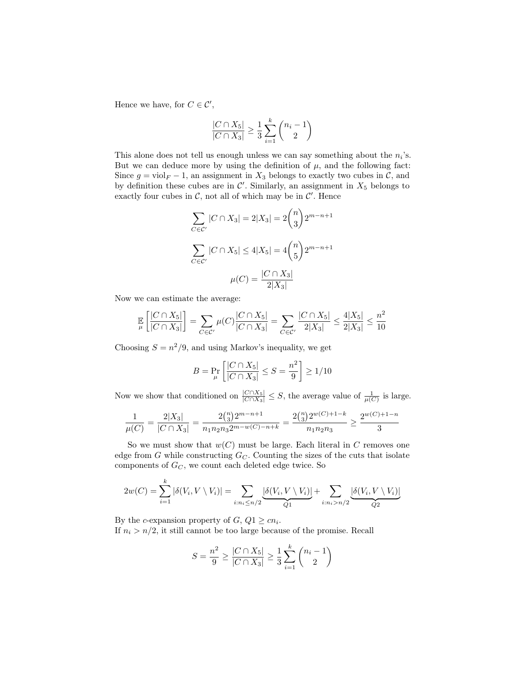Hence we have, for  $C \in \mathcal{C}'$ ,

$$
\frac{|C\cap X_5|}{|C\cap X_3|}\geq \frac{1}{3}\sum_{i=1}^k\binom{n_i-1}{2}
$$

This alone does not tell us enough unless we can say something about the  $n_i$ 's. But we can deduce more by using the definition of  $\mu$ , and the following fact: Since  $g = \text{viol}_F - 1$ , an assignment in  $X_3$  belongs to exactly two cubes in  $\mathcal{C}$ , and by definition these cubes are in  $\mathcal{C}'$ . Similarly, an assignment in  $X_5$  belongs to exactly four cubes in  $\mathcal{C}$ , not all of which may be in  $\mathcal{C}'$ . Hence

$$
\sum_{C \in \mathcal{C}'} |C \cap X_3| = 2|X_3| = 2\binom{n}{3} 2^{m-n+1}
$$

$$
\sum_{C \in \mathcal{C}'} |C \cap X_5| \le 4|X_5| = 4\binom{n}{5} 2^{m-n+1}
$$

$$
\mu(C) = \frac{|C \cap X_3|}{2|X_3|}
$$

Now we can estimate the average:

$$
\mathbb{E}\left[\frac{|C \cap X_5|}{|C \cap X_3|}\right] = \sum_{C \in \mathcal{C}'} \mu(C) \frac{|C \cap X_5|}{|C \cap X_3|} = \sum_{C \in \mathcal{C}'} \frac{|C \cap X_5|}{2|X_3|} \le \frac{4|X_5|}{2|X_3|} \le \frac{n^2}{10}
$$

Choosing  $S = n^2/9$ , and using Markov's inequality, we get

$$
B = \Pr_{\mu} \left[ \frac{|C \cap X_5|}{|C \cap X_3|} \le S = \frac{n^2}{9} \right] \ge 1/10
$$

Now we show that conditioned on  $\frac{|C \cap X_5|}{|C \cap X_3|} \leq S$ , the average value of  $\frac{1}{\mu(C)}$  is large.

$$
\frac{1}{\mu(C)} = \frac{2|X_3|}{|C \cap X_3|} = \frac{2\binom{n}{3}2^{m-n+1}}{n_1 n_2 n_3 2^{m-w(C)-n+k}} = \frac{2\binom{n}{3}2^{w(C)+1-k}}{n_1 n_2 n_3} \ge \frac{2^{w(C)+1-n}}{3}
$$

So we must show that  $w(C)$  must be large. Each literal in C removes one edge from  $G$  while constructing  $G_C$ . Counting the sizes of the cuts that isolate components of  $G_C$ , we count each deleted edge twice. So

$$
2w(C) = \sum_{i=1}^{\kappa} |\delta(V_i, V \setminus V_i)| = \sum_{i:n_i \le n/2} \underbrace{|\delta(V_i, V \setminus V_i)|}_{Q_1} + \sum_{i:n_i > n/2} \underbrace{|\delta(V_i, V \setminus V_i)|}_{Q_2}
$$

By the *c*-expansion property of  $G, Q1 \geq cn_i$ .

k

If  $n_i > n/2$ , it still cannot be too large because of the promise. Recall

$$
S = \frac{n^2}{9} \ge \frac{|C \cap X_5|}{|C \cap X_3|} \ge \frac{1}{3} \sum_{i=1}^k {n_i - 1 \choose 2}
$$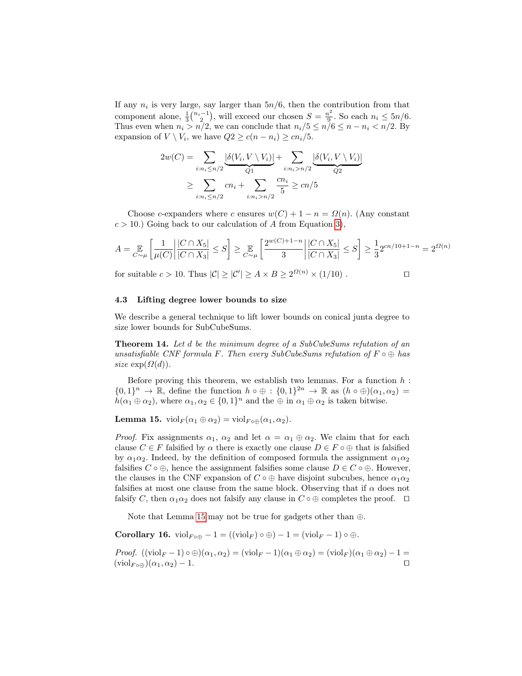If any  $n_i$  is very large, say larger than  $5n/6$ , then the contribution from that component alone,  $\frac{1}{3} {n_i-1 \choose 2}$ , will exceed our chosen  $S = \frac{n^2}{9}$  $\frac{n^2}{9}$ . So each  $n_i \leq 5n/6$ . Thus even when  $n_i > n/2$ , we can conclude that  $n_i/5 \leq n/6 \leq n - n_i < n/2$ . By expansion of  $V \setminus V_i$ , we have  $Q2 \ge c(n - n_i) \ge cn_i/5$ .

$$
2w(C) = \sum_{i:n_i \le n/2} \underbrace{\left|\delta(V_i, V \setminus V_i)\right|}_{Q_1} + \sum_{i:n_i > n/2} \underbrace{\left|\delta(V_i, V \setminus V_i)\right|}_{Q_2}
$$
  
 
$$
\ge \sum_{i:n_i \le n/2} cn_i + \sum_{i:n_i > n/2} \frac{cn_i}{5} \ge cn/5
$$

Choose c-expanders where c ensures  $w(C) + 1 - n = \Omega(n)$ . (Any constant  $c > 10$ .) Going back to our calculation of A from Equation [3\)](#page-11-0),

$$
A = \mathop{\mathbb{E}}_{C \sim \mu} \left[ \frac{1}{\mu(C)} \left| \frac{|C \cap X_5|}{|C \cap X_3|} \le S \right| \right] \ge \mathop{\mathbb{E}}_{C \sim \mu} \left[ \frac{2^{w(C)+1-n}}{3} \left| \frac{|C \cap X_5|}{|C \cap X_3|} \le S \right| \right] \ge \frac{1}{3} 2^{cn/10 + 1 - n} = 2^{\Omega(n)}
$$

for suitable  $c > 10$ . Thus  $|\mathcal{C}| \geq |\mathcal{C}'| \geq A \times B \geq 2^{\Omega(n)} \times (1/10)$ .

#### <span id="page-13-1"></span>4.3 Lifting degree lower bounds to size

<span id="page-13-0"></span>We describe a general technique to lift lower bounds on conical junta degree to size lower bounds for SubCubeSums.

Theorem 14. Let d be the minimum degree of a SubCubeSums refutation of an unsatisfiable CNF formula F. Then every SubCubeSums refutation of  $F \circ \oplus$  has size  $\exp(\Omega(d)).$ 

Before proving this theorem, we establish two lemmas. For a function  $h$ :  $\{0,1\}^n \to \mathbb{R}$ , define the function  $h \circ \oplus : \{0,1\}^{2n} \to \mathbb{R}$  as  $(h \circ \oplus)(\alpha_1,\alpha_2) =$  $h(\alpha_1 \oplus \alpha_2)$ , where  $\alpha_1, \alpha_2 \in \{0, 1\}^n$  and the  $\oplus$  in  $\alpha_1 \oplus \alpha_2$  is taken bitwise.

<span id="page-13-2"></span>**Lemma 15.**  $\text{viol}_{F}(\alpha_1 \oplus \alpha_2) = \text{viol}_{F \circ \oplus}(\alpha_1, \alpha_2).$ 

*Proof.* Fix assignments  $\alpha_1$ ,  $\alpha_2$  and let  $\alpha = \alpha_1 \oplus \alpha_2$ . We claim that for each clause  $C \in F$  falsified by  $\alpha$  there is exactly one clause  $D \in F \circ \oplus$  that is falsified by  $\alpha_1\alpha_2$ . Indeed, by the definition of composed formula the assignment  $\alpha_1\alpha_2$ falsifies  $C \circ \oplus$ , hence the assignment falsifies some clause  $D \in C \circ \oplus$ . However, the clauses in the CNF expansion of  $C \circ \oplus$  have disjoint subcubes, hence  $\alpha_1 \alpha_2$ falsifies at most one clause from the same block. Observing that if  $\alpha$  does not falsify C, then  $\alpha_1\alpha_2$  does not falsify any clause in  $C \circ \oplus$  completes the proof.  $\Box$ 

Note that Lemma [15](#page-13-2) may not be true for gadgets other than ⊕.

<span id="page-13-3"></span>Corollary 16.  $\text{viol}_{F \circ \oplus} - 1 = ((\text{viol}_F) \circ \oplus) - 1 = (\text{viol}_F - 1) \circ \oplus$ .

<span id="page-13-4"></span>Proof.  $((\text{viol}_F - 1) \circ \oplus)(\alpha_1, \alpha_2) = (\text{viol}_F - 1)(\alpha_1 \oplus \alpha_2) = (\text{viol}_F)(\alpha_1 \oplus \alpha_2) - 1 =$  $(\text{viol}_{F \circ \oplus})(\alpha_1, \alpha_2) - 1.$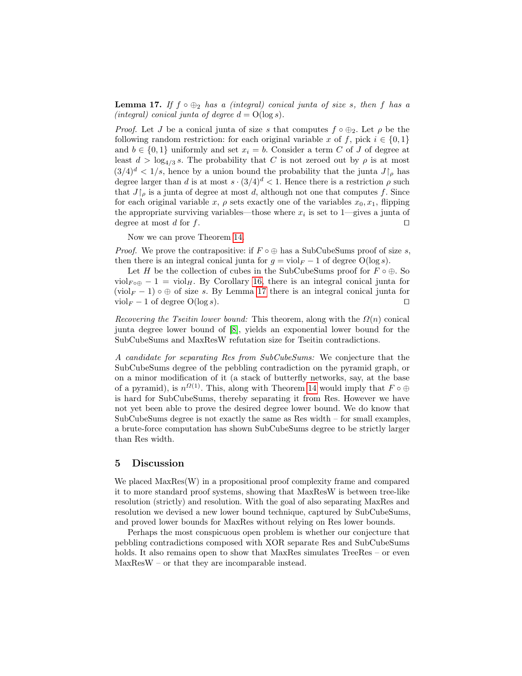**Lemma 17.** If  $f \circ \bigoplus_{2}$  has a (integral) conical junta of size s, then f has a (integral) conical junta of degree  $d = O(\log s)$ .

*Proof.* Let J be a conical junta of size s that computes  $f \circ \bigoplus_{2}$ . Let  $\rho$  be the following random restriction: for each original variable x of f, pick  $i \in \{0,1\}$ and  $b \in \{0,1\}$  uniformly and set  $x_i = b$ . Consider a term C of J of degree at least  $d > \log_{4/3} s$ . The probability that C is not zeroed out by  $\rho$  is at most  $(3/4)^d < 1/s$ , hence by a union bound the probability that the junta  $J\vert_{\rho}$  has degree larger than d is at most  $s \cdot (3/4)^d < 1$ . Hence there is a restriction  $\rho$  such that  $J\upharpoonright_{\rho}$  is a junta of degree at most d, although not one that computes f. Since for each original variable x,  $\rho$  sets exactly one of the variables  $x_0, x_1$ , flipping the appropriate surviving variables—those where  $x_i$  is set to 1—gives a junta of degree at most d for f.

Now we can prove Theorem [14.](#page-13-0)

*Proof.* We prove the contrapositive: if  $F \circ \oplus$  has a SubCubeSums proof of size s, then there is an integral conical junta for  $g = \text{viol}_F - 1$  of degree  $O(\log s)$ .

Let H be the collection of cubes in the SubCubeSums proof for  $F \circ \oplus$ . So viol<sub>Fo</sub> $_{0} - 1 =$  viol<sub>H</sub>. By Corollary [16,](#page-13-3) there is an integral conical junta for  $(\text{viol}_F - 1) \circ \oplus$  of size s. By Lemma [17](#page-13-4) there is an integral conical junta for viol<sub>F</sub>  $-1$  of degree O(log s).

Recovering the Tseitin lower bound: This theorem, along with the  $\Omega(n)$  conical junta degree lower bound of [\[8\]](#page-15-10), yields an exponential lower bound for the SubCubeSums and MaxResW refutation size for Tseitin contradictions.

A candidate for separating Res from SubCubeSums: We conjecture that the SubCubeSums degree of the pebbling contradiction on the pyramid graph, or on a minor modification of it (a stack of butterfly networks, say, at the base of a pyramid), is  $n^{\Omega(1)}$ . This, along with Theorem [14](#page-13-0) would imply that  $F \circ \oplus$ is hard for SubCubeSums, thereby separating it from Res. However we have not yet been able to prove the desired degree lower bound. We do know that SubCubeSums degree is not exactly the same as Res width  $-$  for small examples, a brute-force computation has shown SubCubeSums degree to be strictly larger than Res width.

## 5 Discussion

We placed  $MaxRes(W)$  in a propositional proof complexity frame and compared it to more standard proof systems, showing that MaxResW is between tree-like resolution (strictly) and resolution. With the goal of also separating MaxRes and resolution we devised a new lower bound technique, captured by SubCubeSums, and proved lower bounds for MaxRes without relying on Res lower bounds.

Perhaps the most conspicuous open problem is whether our conjecture that pebbling contradictions composed with XOR separate Res and SubCubeSums holds. It also remains open to show that MaxRes simulates TreeRes – or even MaxResW – or that they are incomparable instead.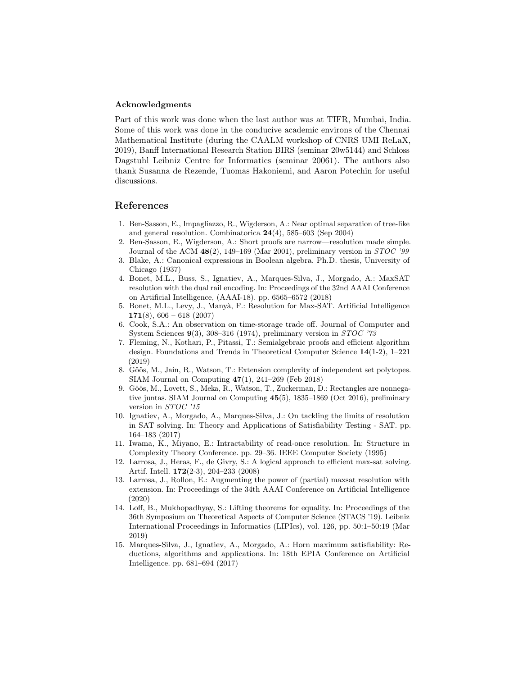#### Acknowledgments

Part of this work was done when the last author was at TIFR, Mumbai, India. Some of this work was done in the conducive academic environs of the Chennai Mathematical Institute (during the CAALM workshop of CNRS UMI ReLaX, 2019), Banff International Research Station BIRS (seminar 20w5144) and Schloss Dagstuhl Leibniz Centre for Informatics (seminar 20061). The authors also thank Susanna de Rezende, Tuomas Hakoniemi, and Aaron Potechin for useful discussions.

# References

- <span id="page-15-11"></span>1. Ben-Sasson, E., Impagliazzo, R., Wigderson, A.: Near optimal separation of tree-like and general resolution. Combinatorica 24(4), 585–603 (Sep 2004)
- <span id="page-15-4"></span>2. Ben-Sasson, E., Wigderson, A.: Short proofs are narrow—resolution made simple. Journal of the ACM  $48(2)$ , 149–169 (Mar 2001), preliminary version in  $STOC$  '99
- <span id="page-15-0"></span>3. Blake, A.: Canonical expressions in Boolean algebra. Ph.D. thesis, University of Chicago (1937)
- <span id="page-15-7"></span>4. Bonet, M.L., Buss, S., Ignatiev, A., Marques-Silva, J., Morgado, A.: MaxSAT resolution with the dual rail encoding. In: Proceedings of the 32nd AAAI Conference on Artificial Intelligence, (AAAI-18). pp. 6565–6572 (2018)
- <span id="page-15-1"></span>5. Bonet, M.L., Levy, J., Manyà, F.: Resolution for Max-SAT. Artificial Intelligence  $171(8)$ , 606 – 618 (2007)
- <span id="page-15-13"></span>6. Cook, S.A.: An observation on time-storage trade off. Journal of Computer and System Sciences  $9(3)$ , 308–316 (1974), preliminary version in  $STOC$  '73
- <span id="page-15-12"></span>7. Fleming, N., Kothari, P., Pitassi, T.: Semialgebraic proofs and efficient algorithm design. Foundations and Trends in Theoretical Computer Science 14(1-2), 1–221 (2019)
- <span id="page-15-10"></span>8. Göös, M., Jain, R., Watson, T.: Extension complexity of independent set polytopes. SIAM Journal on Computing 47(1), 241–269 (Feb 2018)
- <span id="page-15-9"></span>9. Göös, M., Lovett, S., Meka, R., Watson, T., Zuckerman, D.: Rectangles are nonnegative juntas. SIAM Journal on Computing 45(5), 1835–1869 (Oct 2016), preliminary version in STOC '15
- <span id="page-15-5"></span>10. Ignatiev, A., Morgado, A., Marques-Silva, J.: On tackling the limits of resolution in SAT solving. In: Theory and Applications of Satisfiability Testing - SAT. pp. 164–183 (2017)
- <span id="page-15-3"></span>11. Iwama, K., Miyano, E.: Intractability of read-once resolution. In: Structure in Complexity Theory Conference. pp. 29–36. IEEE Computer Society (1995)
- <span id="page-15-2"></span>12. Larrosa, J., Heras, F., de Givry, S.: A logical approach to efficient max-sat solving. Artif. Intell. 172(2-3), 204–233 (2008)
- <span id="page-15-8"></span>13. Larrosa, J., Rollon, E.: Augmenting the power of (partial) maxsat resolution with extension. In: Proceedings of the 34th AAAI Conference on Artificial Intelligence (2020)
- <span id="page-15-14"></span>14. Loff, B., Mukhopadhyay, S.: Lifting theorems for equality. In: Proceedings of the 36th Symposium on Theoretical Aspects of Computer Science (STACS '19). Leibniz International Proceedings in Informatics (LIPIcs), vol. 126, pp. 50:1–50:19 (Mar 2019)
- <span id="page-15-6"></span>15. Marques-Silva, J., Ignatiev, A., Morgado, A.: Horn maximum satisfiability: Reductions, algorithms and applications. In: 18th EPIA Conference on Artificial Intelligence. pp. 681–694 (2017)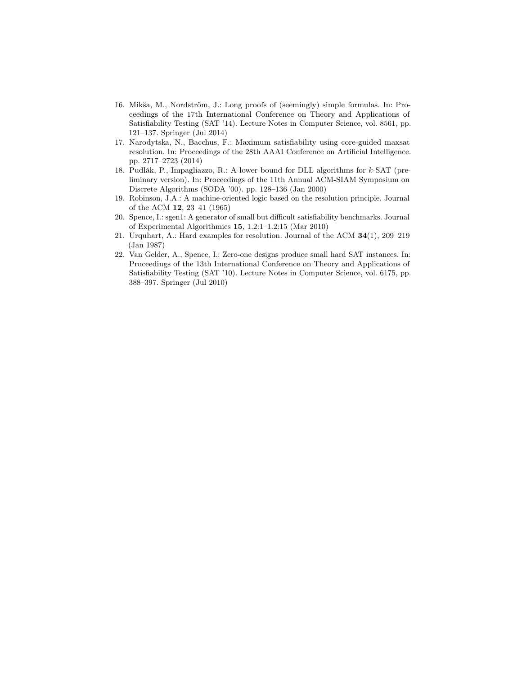- <span id="page-16-5"></span>16. Mikša, M., Nordström, J.: Long proofs of (seemingly) simple formulas. In: Proceedings of the 17th International Conference on Theory and Applications of Satisfiability Testing (SAT '14). Lecture Notes in Computer Science, vol. 8561, pp. 121–137. Springer (Jul 2014)
- <span id="page-16-1"></span>17. Narodytska, N., Bacchus, F.: Maximum satisfiability using core-guided maxsat resolution. In: Proceedings of the 28th AAAI Conference on Artificial Intelligence. pp. 2717–2723 (2014)
- <span id="page-16-2"></span>18. Pudlák, P., Impagliazzo, R.: A lower bound for DLL algorithms for k-SAT (preliminary version). In: Proceedings of the 11th Annual ACM-SIAM Symposium on Discrete Algorithms (SODA '00). pp. 128–136 (Jan 2000)
- <span id="page-16-0"></span>19. Robinson, J.A.: A machine-oriented logic based on the resolution principle. Journal of the ACM 12, 23–41 (1965)
- <span id="page-16-3"></span>20. Spence, I.: sgen1: A generator of small but difficult satisfiability benchmarks. Journal of Experimental Algorithmics 15, 1.2:1–1.2:15 (Mar 2010)
- <span id="page-16-6"></span>21. Urquhart, A.: Hard examples for resolution. Journal of the ACM 34(1), 209–219 (Jan 1987)
- <span id="page-16-4"></span>22. Van Gelder, A., Spence, I.: Zero-one designs produce small hard SAT instances. In: Proceedings of the 13th International Conference on Theory and Applications of Satisfiability Testing (SAT '10). Lecture Notes in Computer Science, vol. 6175, pp. 388–397. Springer (Jul 2010)